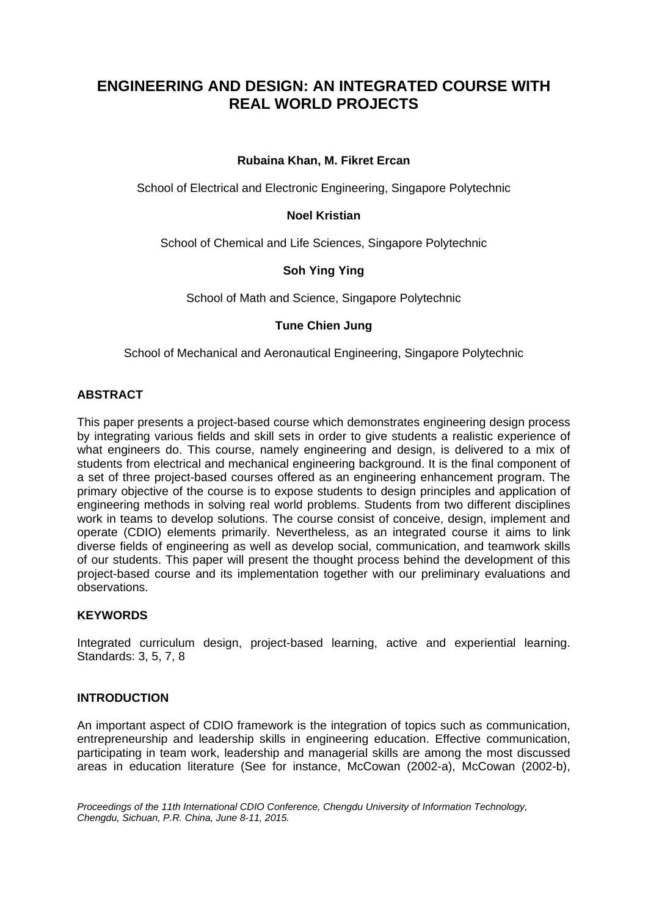# **ENGINEERING AND DESIGN: AN INTEGRATED COURSE WITH REAL WORLD PROJECTS**

# **Rubaina Khan, M. Fikret Ercan**

School of Electrical and Electronic Engineering, Singapore Polytechnic

# **Noel Kristian**

School of Chemical and Life Sciences, Singapore Polytechnic

# **Soh Ying Ying**

School of Math and Science, Singapore Polytechnic

# **Tune Chien Jung**

School of Mechanical and Aeronautical Engineering, Singapore Polytechnic

# **ABSTRACT**

This paper presents a project-based course which demonstrates engineering design process by integrating various fields and skill sets in order to give students a realistic experience of what engineers do. This course, namely engineering and design, is delivered to a mix of students from electrical and mechanical engineering background. It is the final component of a set of three project-based courses offered as an engineering enhancement program. The primary objective of the course is to expose students to design principles and application of engineering methods in solving real world problems. Students from two different disciplines work in teams to develop solutions. The course consist of conceive, design, implement and operate (CDIO) elements primarily. Nevertheless, as an integrated course it aims to link diverse fields of engineering as well as develop social, communication, and teamwork skills of our students. This paper will present the thought process behind the development of this project-based course and its implementation together with our preliminary evaluations and observations.

#### **KEYWORDS**

Integrated curriculum design, project-based learning, active and experiential learning. Standards: 3, 5, 7, 8

#### **INTRODUCTION**

An important aspect of CDIO framework is the integration of topics such as communication, entrepreneurship and leadership skills in engineering education. Effective communication, participating in team work, leadership and managerial skills are among the most discussed areas in education literature (See for instance, McCowan (2002-a), McCowan (2002-b),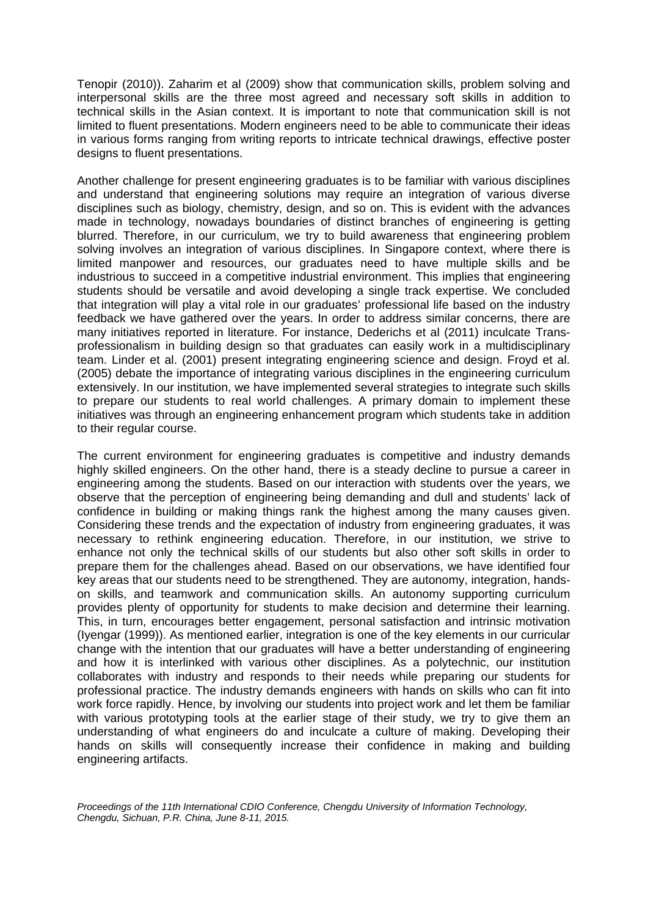Tenopir (2010)). Zaharim et al (2009) show that communication skills, problem solving and interpersonal skills are the three most agreed and necessary soft skills in addition to technical skills in the Asian context. It is important to note that communication skill is not limited to fluent presentations. Modern engineers need to be able to communicate their ideas in various forms ranging from writing reports to intricate technical drawings, effective poster designs to fluent presentations.

Another challenge for present engineering graduates is to be familiar with various disciplines and understand that engineering solutions may require an integration of various diverse disciplines such as biology, chemistry, design, and so on. This is evident with the advances made in technology, nowadays boundaries of distinct branches of engineering is getting blurred. Therefore, in our curriculum, we try to build awareness that engineering problem solving involves an integration of various disciplines. In Singapore context, where there is limited manpower and resources, our graduates need to have multiple skills and be industrious to succeed in a competitive industrial environment. This implies that engineering students should be versatile and avoid developing a single track expertise. We concluded that integration will play a vital role in our graduates' professional life based on the industry feedback we have gathered over the years. In order to address similar concerns, there are many initiatives reported in literature. For instance, Dederichs et al (2011) inculcate Transprofessionalism in building design so that graduates can easily work in a multidisciplinary team. Linder et al. (2001) present integrating engineering science and design. Froyd et al. (2005) debate the importance of integrating various disciplines in the engineering curriculum extensively. In our institution, we have implemented several strategies to integrate such skills to prepare our students to real world challenges. A primary domain to implement these initiatives was through an engineering enhancement program which students take in addition to their regular course.

The current environment for engineering graduates is competitive and industry demands highly skilled engineers. On the other hand, there is a steady decline to pursue a career in engineering among the students. Based on our interaction with students over the years, we observe that the perception of engineering being demanding and dull and students' lack of confidence in building or making things rank the highest among the many causes given. Considering these trends and the expectation of industry from engineering graduates, it was necessary to rethink engineering education. Therefore, in our institution, we strive to enhance not only the technical skills of our students but also other soft skills in order to prepare them for the challenges ahead. Based on our observations, we have identified four key areas that our students need to be strengthened. They are autonomy, integration, handson skills, and teamwork and communication skills. An autonomy supporting curriculum provides plenty of opportunity for students to make decision and determine their learning. This, in turn, encourages better engagement, personal satisfaction and intrinsic motivation (Iyengar (1999)). As mentioned earlier, integration is one of the key elements in our curricular change with the intention that our graduates will have a better understanding of engineering and how it is interlinked with various other disciplines. As a polytechnic, our institution collaborates with industry and responds to their needs while preparing our students for professional practice. The industry demands engineers with hands on skills who can fit into work force rapidly. Hence, by involving our students into project work and let them be familiar with various prototyping tools at the earlier stage of their study, we try to give them an understanding of what engineers do and inculcate a culture of making. Developing their hands on skills will consequently increase their confidence in making and building engineering artifacts.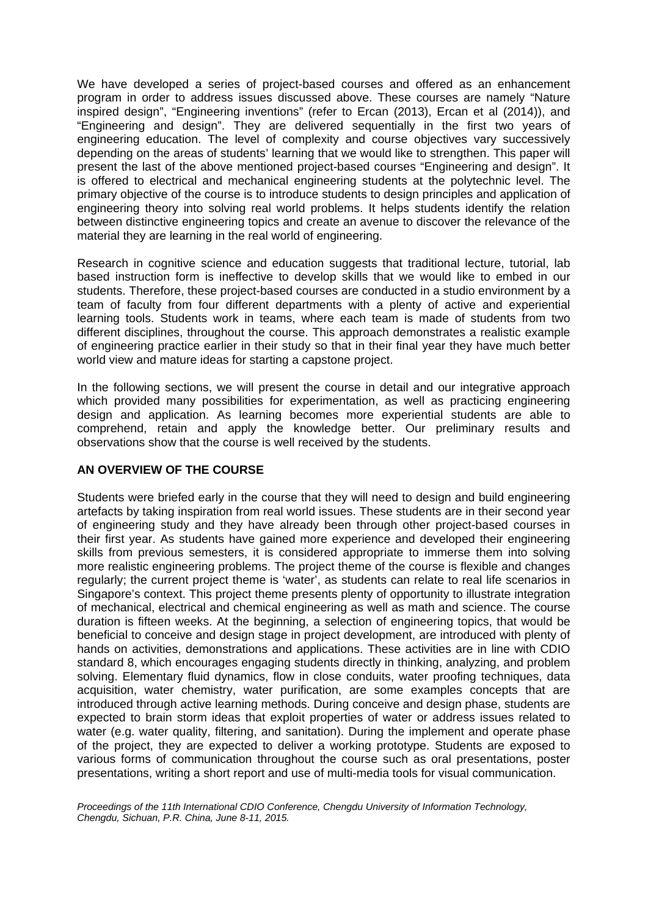We have developed a series of project-based courses and offered as an enhancement program in order to address issues discussed above. These courses are namely "Nature inspired design", "Engineering inventions" (refer to Ercan (2013), Ercan et al (2014)), and "Engineering and design". They are delivered sequentially in the first two years of engineering education. The level of complexity and course objectives vary successively depending on the areas of students' learning that we would like to strengthen. This paper will present the last of the above mentioned project-based courses "Engineering and design". It is offered to electrical and mechanical engineering students at the polytechnic level. The primary objective of the course is to introduce students to design principles and application of engineering theory into solving real world problems. It helps students identify the relation between distinctive engineering topics and create an avenue to discover the relevance of the material they are learning in the real world of engineering.

Research in cognitive science and education suggests that traditional lecture, tutorial, lab based instruction form is ineffective to develop skills that we would like to embed in our students. Therefore, these project-based courses are conducted in a studio environment by a team of faculty from four different departments with a plenty of active and experiential learning tools. Students work in teams, where each team is made of students from two different disciplines, throughout the course. This approach demonstrates a realistic example of engineering practice earlier in their study so that in their final year they have much better world view and mature ideas for starting a capstone project.

In the following sections, we will present the course in detail and our integrative approach which provided many possibilities for experimentation, as well as practicing engineering design and application. As learning becomes more experiential students are able to comprehend, retain and apply the knowledge better. Our preliminary results and observations show that the course is well received by the students.

# **AN OVERVIEW OF THE COURSE**

Students were briefed early in the course that they will need to design and build engineering artefacts by taking inspiration from real world issues. These students are in their second year of engineering study and they have already been through other project-based courses in their first year. As students have gained more experience and developed their engineering skills from previous semesters, it is considered appropriate to immerse them into solving more realistic engineering problems. The project theme of the course is flexible and changes regularly; the current project theme is 'water', as students can relate to real life scenarios in Singapore's context. This project theme presents plenty of opportunity to illustrate integration of mechanical, electrical and chemical engineering as well as math and science. The course duration is fifteen weeks. At the beginning, a selection of engineering topics, that would be beneficial to conceive and design stage in project development, are introduced with plenty of hands on activities, demonstrations and applications. These activities are in line with CDIO standard 8, which encourages engaging students directly in thinking, analyzing, and problem solving. Elementary fluid dynamics, flow in close conduits, water proofing techniques, data acquisition, water chemistry, water purification, are some examples concepts that are introduced through active learning methods. During conceive and design phase, students are expected to brain storm ideas that exploit properties of water or address issues related to water (e.g. water quality, filtering, and sanitation). During the implement and operate phase of the project, they are expected to deliver a working prototype. Students are exposed to various forms of communication throughout the course such as oral presentations, poster presentations, writing a short report and use of multi-media tools for visual communication.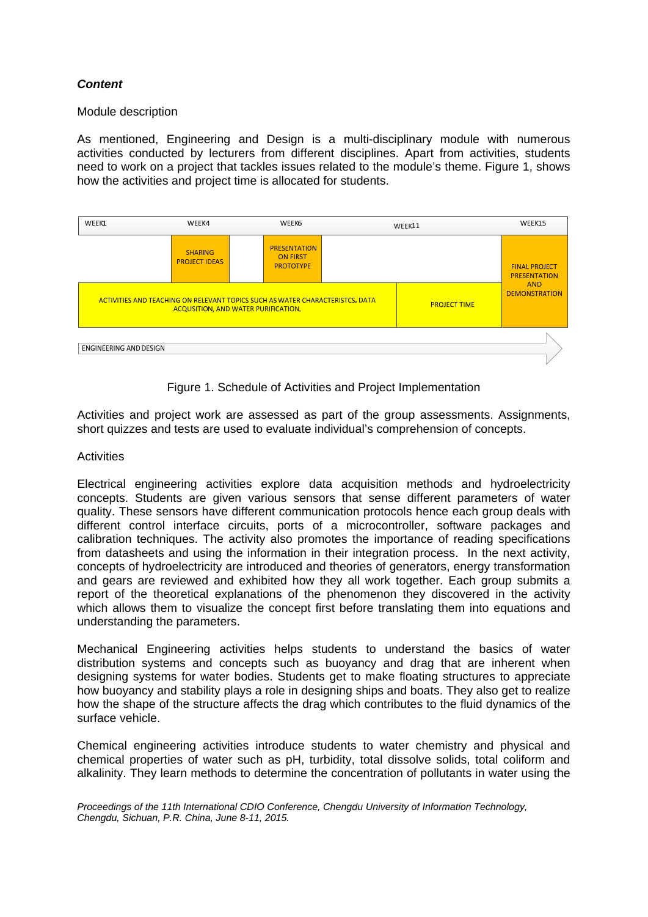# *Content*

#### Module description

As mentioned, Engineering and Design is a multi-disciplinary module with numerous activities conducted by lecturers from different disciplines. Apart from activities, students need to work on a project that tackles issues related to the module's theme. Figure 1, shows how the activities and project time is allocated for students.





Activities and project work are assessed as part of the group assessments. Assignments, short quizzes and tests are used to evaluate individual's comprehension of concepts.

#### **Activities**

Electrical engineering activities explore data acquisition methods and hydroelectricity concepts. Students are given various sensors that sense different parameters of water quality. These sensors have different communication protocols hence each group deals with different control interface circuits, ports of a microcontroller, software packages and calibration techniques. The activity also promotes the importance of reading specifications from datasheets and using the information in their integration process. In the next activity, concepts of hydroelectricity are introduced and theories of generators, energy transformation and gears are reviewed and exhibited how they all work together. Each group submits a report of the theoretical explanations of the phenomenon they discovered in the activity which allows them to visualize the concept first before translating them into equations and understanding the parameters.

Mechanical Engineering activities helps students to understand the basics of water distribution systems and concepts such as buoyancy and drag that are inherent when designing systems for water bodies. Students get to make floating structures to appreciate how buoyancy and stability plays a role in designing ships and boats. They also get to realize how the shape of the structure affects the drag which contributes to the fluid dynamics of the surface vehicle.

Chemical engineering activities introduce students to water chemistry and physical and chemical properties of water such as pH, turbidity, total dissolve solids, total coliform and alkalinity. They learn methods to determine the concentration of pollutants in water using the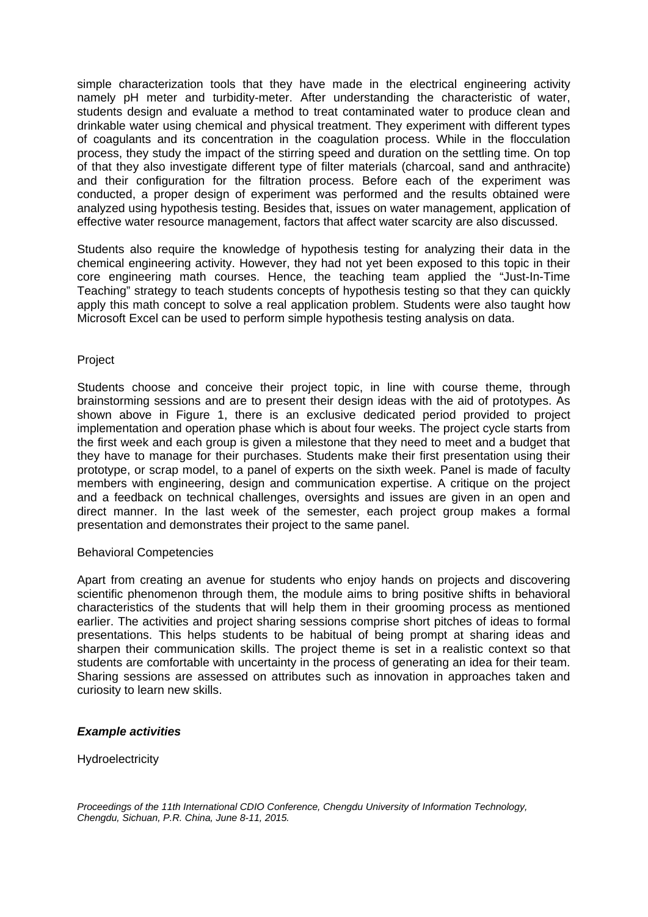simple characterization tools that they have made in the electrical engineering activity namely pH meter and turbidity-meter. After understanding the characteristic of water, students design and evaluate a method to treat contaminated water to produce clean and drinkable water using chemical and physical treatment. They experiment with different types of coagulants and its concentration in the coagulation process. While in the flocculation process, they study the impact of the stirring speed and duration on the settling time. On top of that they also investigate different type of filter materials (charcoal, sand and anthracite) and their configuration for the filtration process. Before each of the experiment was conducted, a proper design of experiment was performed and the results obtained were analyzed using hypothesis testing. Besides that, issues on water management, application of effective water resource management, factors that affect water scarcity are also discussed.

Students also require the knowledge of hypothesis testing for analyzing their data in the chemical engineering activity. However, they had not yet been exposed to this topic in their core engineering math courses. Hence, the teaching team applied the "Just-In-Time Teaching" strategy to teach students concepts of hypothesis testing so that they can quickly apply this math concept to solve a real application problem. Students were also taught how Microsoft Excel can be used to perform simple hypothesis testing analysis on data.

# Project

Students choose and conceive their project topic, in line with course theme, through brainstorming sessions and are to present their design ideas with the aid of prototypes. As shown above in Figure 1, there is an exclusive dedicated period provided to project implementation and operation phase which is about four weeks. The project cycle starts from the first week and each group is given a milestone that they need to meet and a budget that they have to manage for their purchases. Students make their first presentation using their prototype, or scrap model, to a panel of experts on the sixth week. Panel is made of faculty members with engineering, design and communication expertise. A critique on the project and a feedback on technical challenges, oversights and issues are given in an open and direct manner. In the last week of the semester, each project group makes a formal presentation and demonstrates their project to the same panel.

#### Behavioral Competencies

Apart from creating an avenue for students who enjoy hands on projects and discovering scientific phenomenon through them, the module aims to bring positive shifts in behavioral characteristics of the students that will help them in their grooming process as mentioned earlier. The activities and project sharing sessions comprise short pitches of ideas to formal presentations. This helps students to be habitual of being prompt at sharing ideas and sharpen their communication skills. The project theme is set in a realistic context so that students are comfortable with uncertainty in the process of generating an idea for their team. Sharing sessions are assessed on attributes such as innovation in approaches taken and curiosity to learn new skills.

#### *Example activities*

**Hydroelectricity**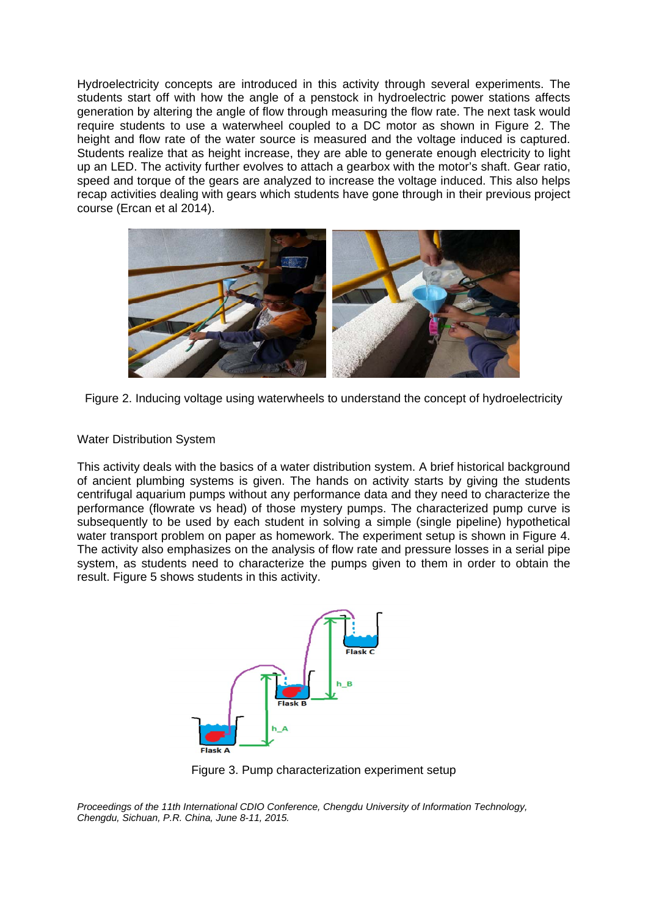Hydroelectricity concepts are introduced in this activity through several experiments. The students start off with how the angle of a penstock in hydroelectric power stations affects generation by altering the angle of flow through measuring the flow rate. The next task would require students to use a waterwheel coupled to a DC motor as shown in Figure 2. The height and flow rate of the water source is measured and the voltage induced is captured. Students realize that as height increase, they are able to generate enough electricity to light up an LED. The activity further evolves to attach a gearbox with the motor's shaft. Gear ratio, speed and torque of the gears are analyzed to increase the voltage induced. This also helps recap activities dealing with gears which students have gone through in their previous project course (Ercan et al 2014).



Figure 2. Inducing voltage using waterwheels to understand the concept of hydroelectricity

# Water Distribution System

This activity deals with the basics of a water distribution system. A brief historical background of ancient plumbing systems is given. The hands on activity starts by giving the students centrifugal aquarium pumps without any performance data and they need to characterize the performance (flowrate vs head) of those mystery pumps. The characterized pump curve is subsequently to be used by each student in solving a simple (single pipeline) hypothetical water transport problem on paper as homework. The experiment setup is shown in Figure 4. The activity also emphasizes on the analysis of flow rate and pressure losses in a serial pipe system, as students need to characterize the pumps given to them in order to obtain the result. Figure 5 shows students in this activity.



Figure 3. Pump characterization experiment setup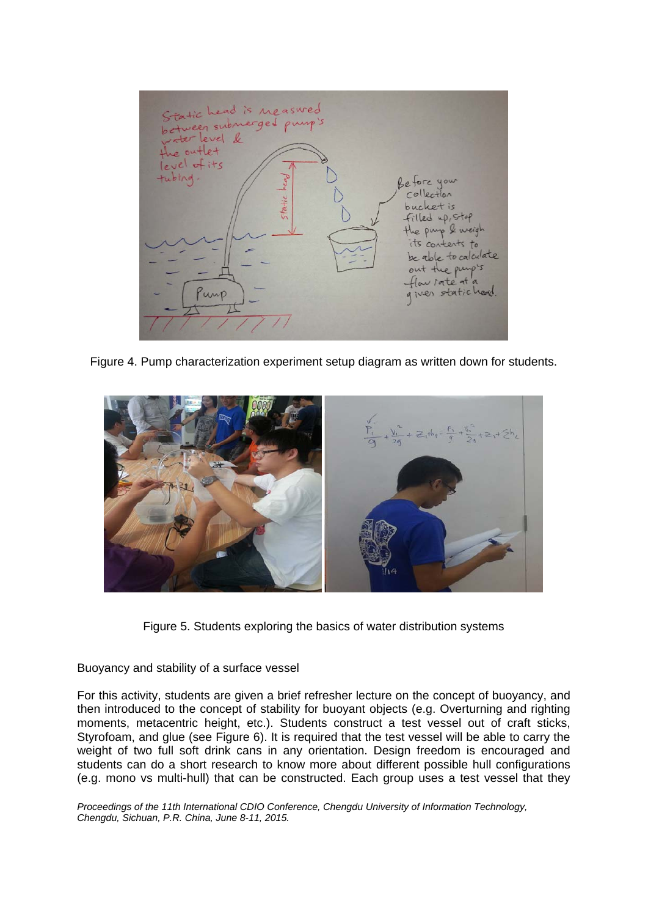

Figure 4. Pump characterization experiment setup diagram as written down for students.



Figure 5. Students exploring the basics of water distribution systems

Buoyancy and stability of a surface vessel

For this activity, students are given a brief refresher lecture on the concept of buoyancy, and then introduced to the concept of stability for buoyant objects (e.g. Overturning and righting moments, metacentric height, etc.). Students construct a test vessel out of craft sticks, Styrofoam, and glue (see Figure 6). It is required that the test vessel will be able to carry the weight of two full soft drink cans in any orientation. Design freedom is encouraged and students can do a short research to know more about different possible hull configurations (e.g. mono vs multi-hull) that can be constructed. Each group uses a test vessel that they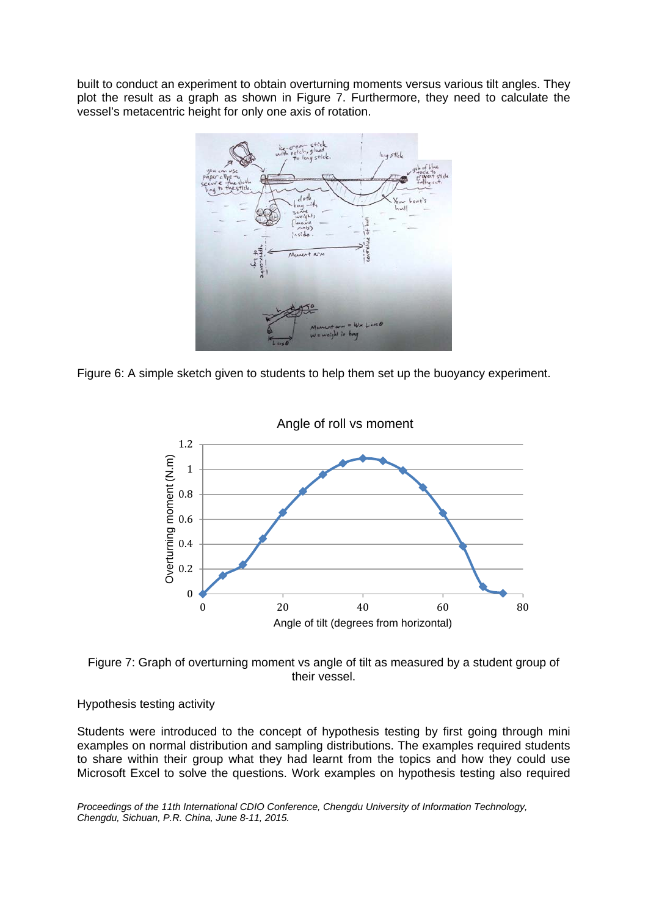built to conduct an experiment to obtain overturning moments versus various tilt angles. They plot the result as a graph as shown in Figure 7. Furthermore, they need to calculate the vessel's metacentric height for only one axis of rotation.



Figure 6: A simple sketch given to students to help them set up the buoyancy experiment.



Figure 7: Graph of overturning moment vs angle of tilt as measured by a student group of their vessel.

# Hypothesis testing activity

Students were introduced to the concept of hypothesis testing by first going through mini examples on normal distribution and sampling distributions. The examples required students to share within their group what they had learnt from the topics and how they could use Microsoft Excel to solve the questions. Work examples on hypothesis testing also required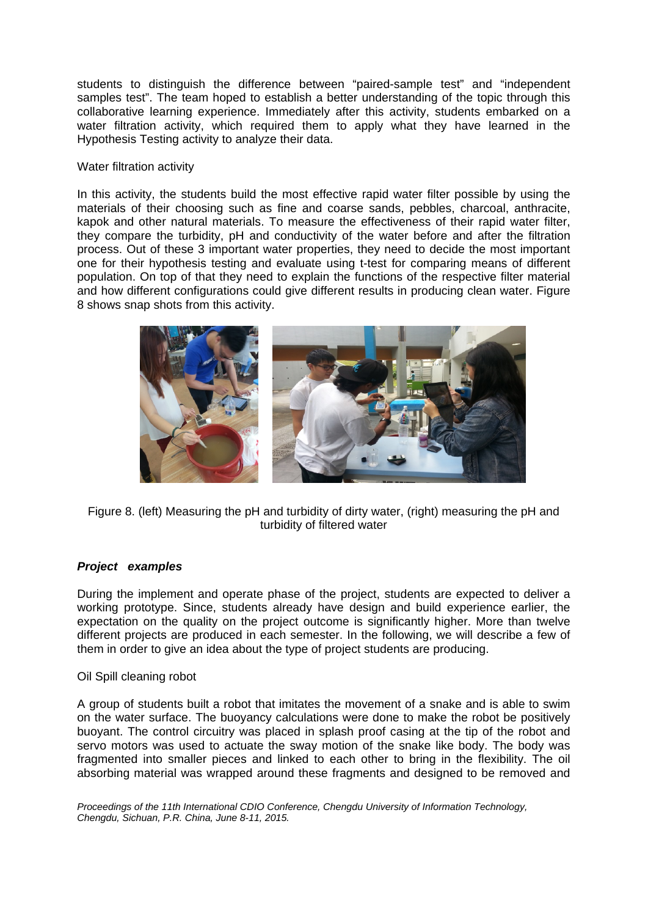students to distinguish the difference between "paired-sample test" and "independent samples test". The team hoped to establish a better understanding of the topic through this collaborative learning experience. Immediately after this activity, students embarked on a water filtration activity, which required them to apply what they have learned in the Hypothesis Testing activity to analyze their data.

# Water filtration activity

In this activity, the students build the most effective rapid water filter possible by using the materials of their choosing such as fine and coarse sands, pebbles, charcoal, anthracite, kapok and other natural materials. To measure the effectiveness of their rapid water filter, they compare the turbidity, pH and conductivity of the water before and after the filtration process. Out of these 3 important water properties, they need to decide the most important one for their hypothesis testing and evaluate using t-test for comparing means of different population. On top of that they need to explain the functions of the respective filter material and how different configurations could give different results in producing clean water. Figure 8 shows snap shots from this activity.



Figure 8. (left) Measuring the pH and turbidity of dirty water, (right) measuring the pH and turbidity of filtered water

# *Project examples*

During the implement and operate phase of the project, students are expected to deliver a working prototype. Since, students already have design and build experience earlier, the expectation on the quality on the project outcome is significantly higher. More than twelve different projects are produced in each semester. In the following, we will describe a few of them in order to give an idea about the type of project students are producing.

#### Oil Spill cleaning robot

A group of students built a robot that imitates the movement of a snake and is able to swim on the water surface. The buoyancy calculations were done to make the robot be positively buoyant. The control circuitry was placed in splash proof casing at the tip of the robot and servo motors was used to actuate the sway motion of the snake like body. The body was fragmented into smaller pieces and linked to each other to bring in the flexibility. The oil absorbing material was wrapped around these fragments and designed to be removed and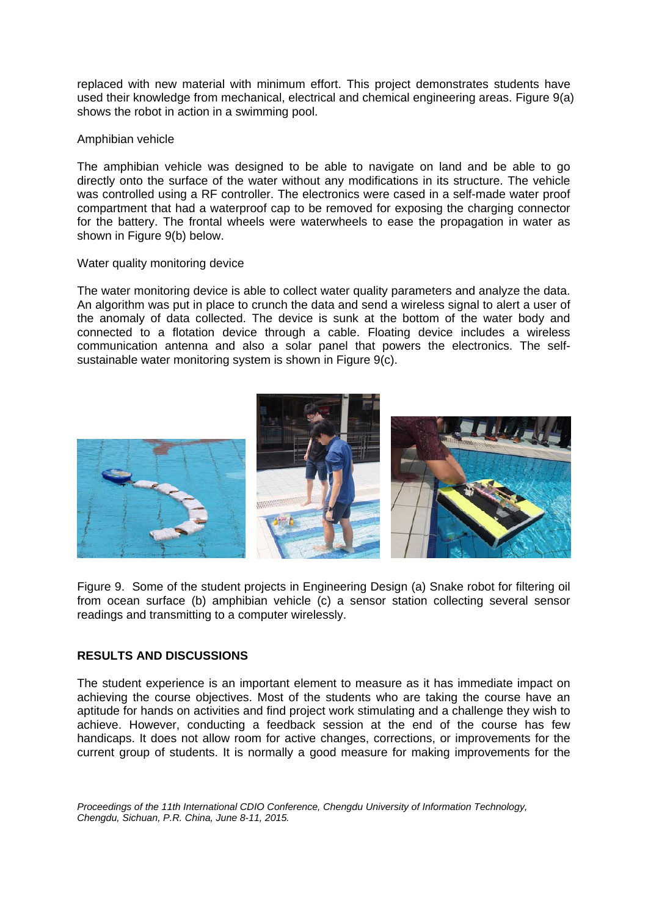replaced with new material with minimum effort. This project demonstrates students have used their knowledge from mechanical, electrical and chemical engineering areas. Figure 9(a) shows the robot in action in a swimming pool.

# Amphibian vehicle

The amphibian vehicle was designed to be able to navigate on land and be able to go directly onto the surface of the water without any modifications in its structure. The vehicle was controlled using a RF controller. The electronics were cased in a self-made water proof compartment that had a waterproof cap to be removed for exposing the charging connector for the battery. The frontal wheels were waterwheels to ease the propagation in water as shown in Figure 9(b) below.

# Water quality monitoring device

The water monitoring device is able to collect water quality parameters and analyze the data. An algorithm was put in place to crunch the data and send a wireless signal to alert a user of the anomaly of data collected. The device is sunk at the bottom of the water body and connected to a flotation device through a cable. Floating device includes a wireless communication antenna and also a solar panel that powers the electronics. The selfsustainable water monitoring system is shown in Figure 9(c).



Figure 9. Some of the student projects in Engineering Design (a) Snake robot for filtering oil from ocean surface (b) amphibian vehicle (c) a sensor station collecting several sensor readings and transmitting to a computer wirelessly.

# **RESULTS AND DISCUSSIONS**

The student experience is an important element to measure as it has immediate impact on achieving the course objectives. Most of the students who are taking the course have an aptitude for hands on activities and find project work stimulating and a challenge they wish to achieve. However, conducting a feedback session at the end of the course has few handicaps. It does not allow room for active changes, corrections, or improvements for the current group of students. It is normally a good measure for making improvements for the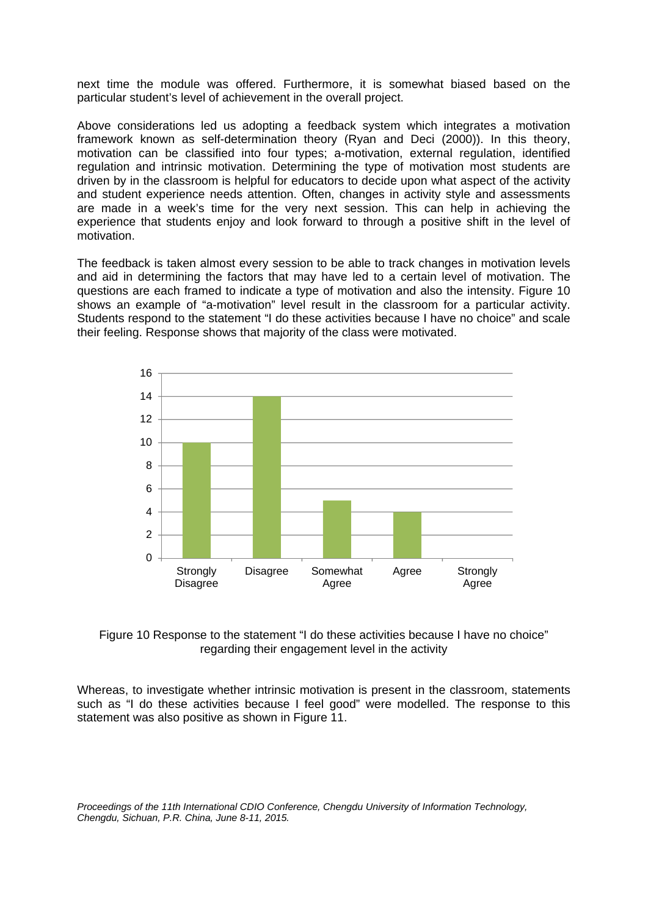next time the module was offered. Furthermore, it is somewhat biased based on the particular student's level of achievement in the overall project.

Above considerations led us adopting a feedback system which integrates a motivation framework known as self-determination theory (Ryan and Deci (2000)). In this theory, motivation can be classified into four types; a-motivation, external regulation, identified regulation and intrinsic motivation. Determining the type of motivation most students are driven by in the classroom is helpful for educators to decide upon what aspect of the activity and student experience needs attention. Often, changes in activity style and assessments are made in a week's time for the very next session. This can help in achieving the experience that students enjoy and look forward to through a positive shift in the level of motivation.

The feedback is taken almost every session to be able to track changes in motivation levels and aid in determining the factors that may have led to a certain level of motivation. The questions are each framed to indicate a type of motivation and also the intensity. Figure 10 shows an example of "a-motivation" level result in the classroom for a particular activity. Students respond to the statement "I do these activities because I have no choice" and scale their feeling. Response shows that majority of the class were motivated.





Whereas, to investigate whether intrinsic motivation is present in the classroom, statements such as "I do these activities because I feel good" were modelled. The response to this statement was also positive as shown in Figure 11.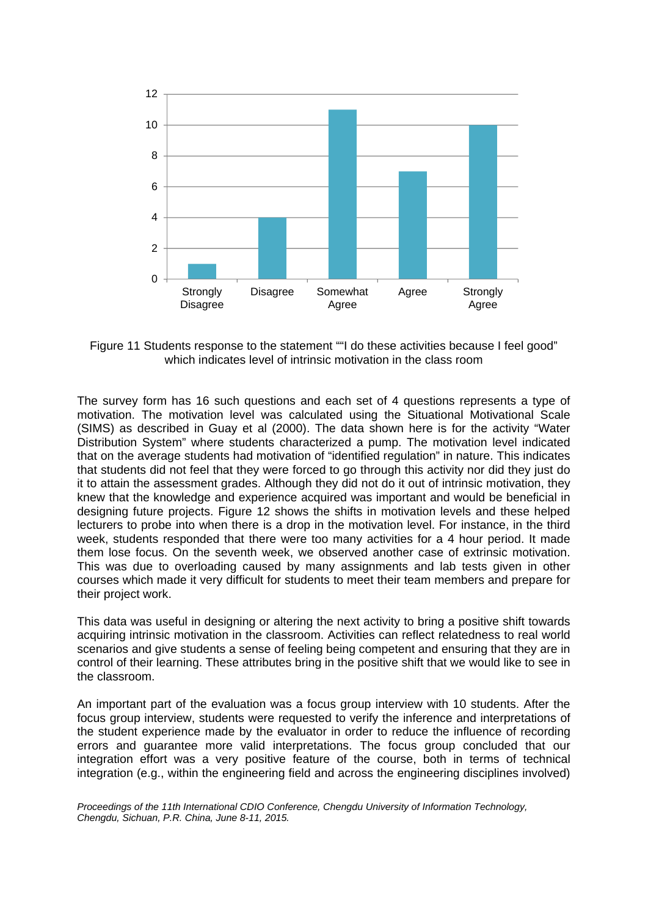

Figure 11 Students response to the statement ""I do these activities because I feel good" which indicates level of intrinsic motivation in the class room

The survey form has 16 such questions and each set of 4 questions represents a type of motivation. The motivation level was calculated using the Situational Motivational Scale (SIMS) as described in Guay et al (2000). The data shown here is for the activity "Water Distribution System" where students characterized a pump. The motivation level indicated that on the average students had motivation of "identified regulation" in nature. This indicates that students did not feel that they were forced to go through this activity nor did they just do it to attain the assessment grades. Although they did not do it out of intrinsic motivation, they knew that the knowledge and experience acquired was important and would be beneficial in designing future projects. Figure 12 shows the shifts in motivation levels and these helped lecturers to probe into when there is a drop in the motivation level. For instance, in the third week, students responded that there were too many activities for a 4 hour period. It made them lose focus. On the seventh week, we observed another case of extrinsic motivation. This was due to overloading caused by many assignments and lab tests given in other courses which made it very difficult for students to meet their team members and prepare for their project work.

This data was useful in designing or altering the next activity to bring a positive shift towards acquiring intrinsic motivation in the classroom. Activities can reflect relatedness to real world scenarios and give students a sense of feeling being competent and ensuring that they are in control of their learning. These attributes bring in the positive shift that we would like to see in the classroom.

An important part of the evaluation was a focus group interview with 10 students. After the focus group interview, students were requested to verify the inference and interpretations of the student experience made by the evaluator in order to reduce the influence of recording errors and guarantee more valid interpretations. The focus group concluded that our integration effort was a very positive feature of the course, both in terms of technical integration (e.g., within the engineering field and across the engineering disciplines involved)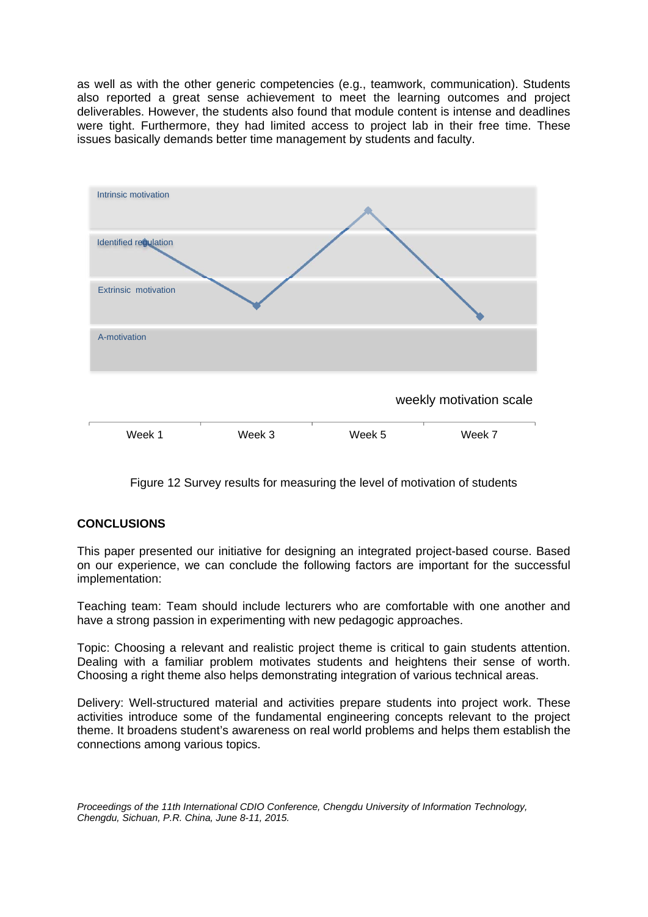as well as with the other generic competencies (e.g., teamwork, communication). Students also reported a great sense achievement to meet the learning outcomes and project deliverables. However, the students also found that module content is intense and deadlines were tight. Furthermore, they had limited access to project lab in their free time. These issues basically demands better time management by students and faculty.



Figure 12 Survey results for measuring the level of motivation of students

# **CONCLUSIONS**

This paper presented our initiative for designing an integrated project-based course. Based on our experience, we can conclude the following factors are important for the successful implementation:

Teaching team: Team should include lecturers who are comfortable with one another and have a strong passion in experimenting with new pedagogic approaches.

Topic: Choosing a relevant and realistic project theme is critical to gain students attention. Dealing with a familiar problem motivates students and heightens their sense of worth. Choosing a right theme also helps demonstrating integration of various technical areas.

Delivery: Well-structured material and activities prepare students into project work. These activities introduce some of the fundamental engineering concepts relevant to the project theme. It broadens student's awareness on real world problems and helps them establish the connections among various topics.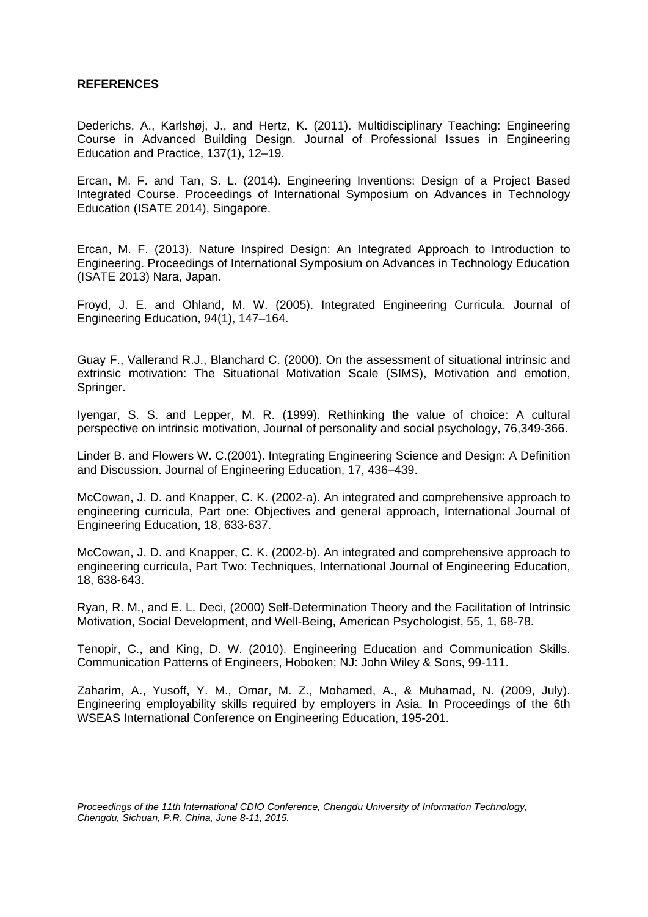# **REFERENCES**

Dederichs, A., Karlshøj, J., and Hertz, K. (2011). Multidisciplinary Teaching: Engineering Course in Advanced Building Design. Journal of Professional Issues in Engineering Education and Practice, 137(1), 12–19.

Ercan, M. F. and Tan, S. L. (2014). Engineering Inventions: Design of a Project Based Integrated Course. Proceedings of International Symposium on Advances in Technology Education (ISATE 2014), Singapore.

Ercan, M. F. (2013). Nature Inspired Design: An Integrated Approach to Introduction to Engineering. Proceedings of International Symposium on Advances in Technology Education (ISATE 2013) Nara, Japan.

Froyd, J. E. and Ohland, M. W. (2005). Integrated Engineering Curricula. Journal of Engineering Education, 94(1), 147–164.

Guay F., Vallerand R.J., Blanchard C. (2000). On the assessment of situational intrinsic and extrinsic motivation: The Situational Motivation Scale (SIMS), Motivation and emotion, Springer.

Iyengar, S. S. and Lepper, M. R. (1999). Rethinking the value of choice: A cultural perspective on intrinsic motivation, Journal of personality and social psychology, 76,349-366.

Linder B. and Flowers W. C.(2001). Integrating Engineering Science and Design: A Definition and Discussion. Journal of Engineering Education, 17, 436–439.

McCowan, J. D. and Knapper, C. K. (2002-a). An integrated and comprehensive approach to engineering curricula, Part one: Objectives and general approach, International Journal of Engineering Education, 18, 633-637.

McCowan, J. D. and Knapper, C. K. (2002-b). An integrated and comprehensive approach to engineering curricula, Part Two: Techniques, International Journal of Engineering Education, 18, 638-643.

Ryan, R. M., and E. L. Deci, (2000) Self-Determination Theory and the Facilitation of Intrinsic Motivation, Social Development, and Well-Being, American Psychologist, 55, 1, 68-78.

Tenopir, C., and King, D. W. (2010). Engineering Education and Communication Skills. Communication Patterns of Engineers, Hoboken; NJ: John Wiley & Sons, 99-111.

Zaharim, A., Yusoff, Y. M., Omar, M. Z., Mohamed, A., & Muhamad, N. (2009, July). Engineering employability skills required by employers in Asia. In Proceedings of the 6th WSEAS International Conference on Engineering Education, 195-201.